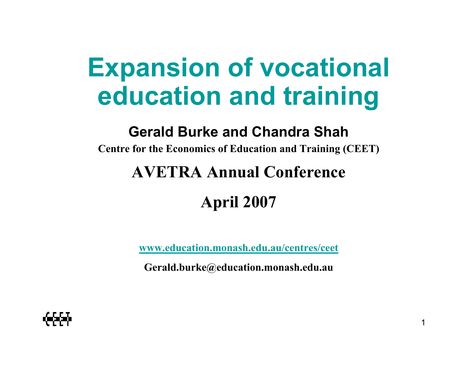# **Expansion of vocational education and training**

#### **Gerald Burke and Chandra Shah**

**Centre for the Economics of Education and Training (CEET)**

#### **AVETRA Annual Conference**

#### **April 2007**

**www.education.monash.edu.au/centres/ceet**

**Gerald.burke@education.monash.edu.au**

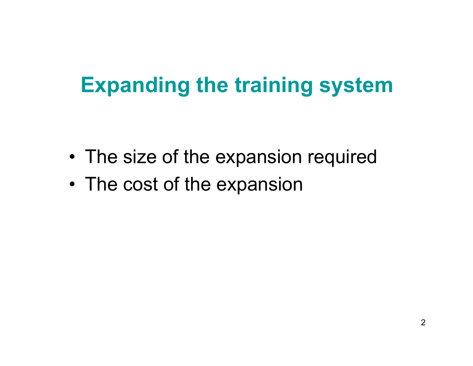# **Expanding the training system**

- •The size of the expansion required
- •The cost of the expansion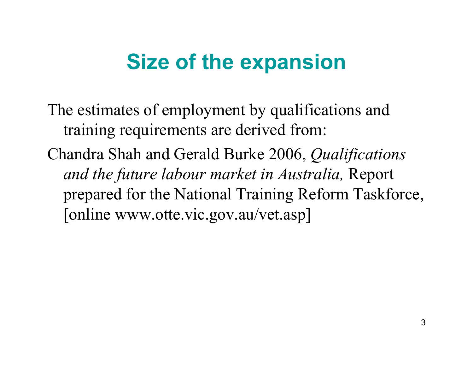# **Size of the expansion**

The estimates of employment by qualifications and training requirements are derived from:

Chandra Shah and Gerald Burke 2006, *Qualifications and the future labour market in Australia,* Report prepared for the National Training Reform Taskforce, [online www.otte.vic.gov.au/vet.asp]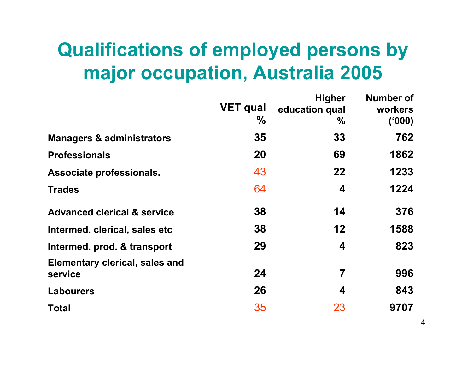### **Qualifications of employed persons by major occupation, Australia 2005**

|                                                  | <b>VET qual</b><br>$\%$ | <b>Higher</b><br>education qual<br>% | Number of<br>workers<br>(000) |
|--------------------------------------------------|-------------------------|--------------------------------------|-------------------------------|
| <b>Managers &amp; administrators</b>             | 35                      | 33                                   | 762                           |
| <b>Professionals</b>                             | 20                      | 69                                   | 1862                          |
| Associate professionals.                         | 43                      | 22                                   | 1233                          |
| <b>Trades</b>                                    | 64                      | 4                                    | 1224                          |
| <b>Advanced clerical &amp; service</b>           | 38                      | 14                                   | 376                           |
| Intermed. clerical, sales etc                    | 38                      | 12                                   | 1588                          |
| Intermed. prod. & transport                      | 29                      | 4                                    | 823                           |
| <b>Elementary clerical, sales and</b><br>service | 24                      | 7                                    | 996                           |
| <b>Labourers</b>                                 | 26                      | 4                                    | 843                           |
| <b>Total</b>                                     | 35                      | 23                                   | 9707                          |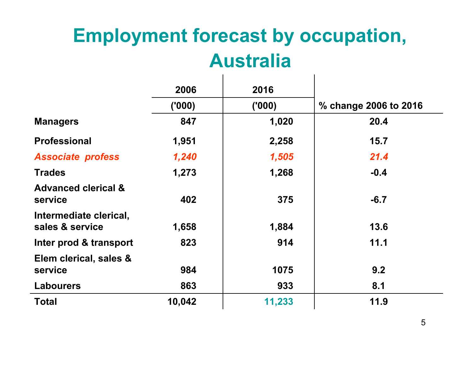# **Employment forecast by occupation, Australia**

|                                           | 2006   | 2016   |                       |
|-------------------------------------------|--------|--------|-----------------------|
|                                           | (000)  | (000)  | % change 2006 to 2016 |
| <b>Managers</b>                           | 847    | 1,020  | 20.4                  |
| <b>Professional</b>                       | 1,951  | 2,258  | 15.7                  |
| <b>Associate profess</b>                  | 1,240  | 1,505  | 21.4                  |
| <b>Trades</b>                             | 1,273  | 1,268  | $-0.4$                |
| <b>Advanced clerical &amp;</b><br>service | 402    | 375    | $-6.7$                |
| Intermediate clerical,<br>sales & service | 1,658  | 1,884  | 13.6                  |
| Inter prod & transport                    | 823    | 914    | 11.1                  |
| Elem clerical, sales &<br>service         | 984    | 1075   | 9.2                   |
| <b>Labourers</b>                          | 863    | 933    | 8.1                   |
| <b>Total</b>                              | 10,042 | 11,233 | 11.9                  |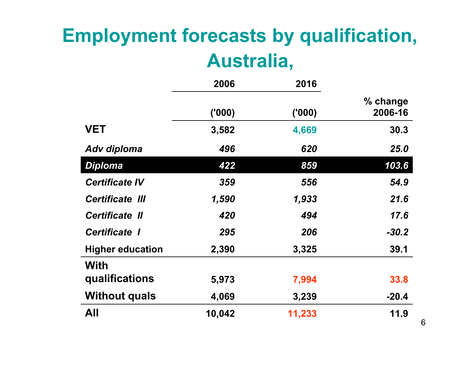## **Employment forecasts by qualification, Australia,**

|                         | 2006   | 2016   |                     |
|-------------------------|--------|--------|---------------------|
|                         | (000)  | (000)  | % change<br>2006-16 |
| <b>VET</b>              | 3,582  | 4,669  | 30.3                |
| <b>Adv diploma</b>      | 496    | 620    | 25.0                |
| <b>Diploma</b>          | 422    | 859    | 103.6               |
| <b>Certificate IV</b>   | 359    | 556    | 54.9                |
| <b>Certificate III</b>  | 1,590  | 1,933  | 21.6                |
| <b>Certificate II</b>   | 420    | 494    | 17.6                |
| <b>Certificate I</b>    | 295    | 206    | $-30.2$             |
| <b>Higher education</b> | 2,390  | 3,325  | 39.1                |
| <b>With</b>             |        |        |                     |
| qualifications          | 5,973  | 7,994  | 33.8                |
| <b>Without quals</b>    | 4,069  | 3,239  | $-20.4$             |
| All                     | 10,042 | 11,233 | 11.9                |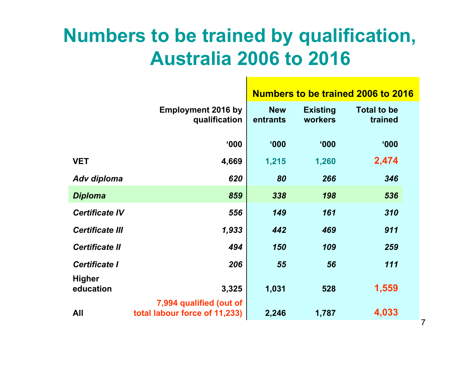### **Numbers to be trained by qualification, Australia 2006 to 2016**

|                            |                                                          | <b>Numbers to be trained 2006 to 2016</b> |                            |                               |
|----------------------------|----------------------------------------------------------|-------------------------------------------|----------------------------|-------------------------------|
|                            | <b>Employment 2016 by</b><br>qualification               | <b>New</b><br>entrants                    | <b>Existing</b><br>workers | <b>Total to be</b><br>trained |
|                            | 000'                                                     | <b>'000</b>                               | 000'                       | 000'                          |
| <b>VET</b>                 | 4,669                                                    | 1,215                                     | 1,260                      | 2,474                         |
| Adv diploma                | 620                                                      | 80                                        | 266                        | 346                           |
| <b>Diploma</b>             | 859                                                      | 338                                       | 198                        | 536                           |
| <b>Certificate IV</b>      | 556                                                      | 149                                       | 161                        | 310                           |
| <b>Certificate III</b>     | 1,933                                                    | 442                                       | 469                        | 911                           |
| <b>Certificate II</b>      | 494                                                      | 150                                       | 109                        | 259                           |
| <b>Certificate I</b>       | 206                                                      | 55                                        | 56                         | 111                           |
| <b>Higher</b><br>education | 3,325                                                    | 1,031                                     | 528                        | 1,559                         |
| All                        | 7,994 qualified (out of<br>total labour force of 11,233) | 2,246                                     | 1,787                      | 4,033                         |

7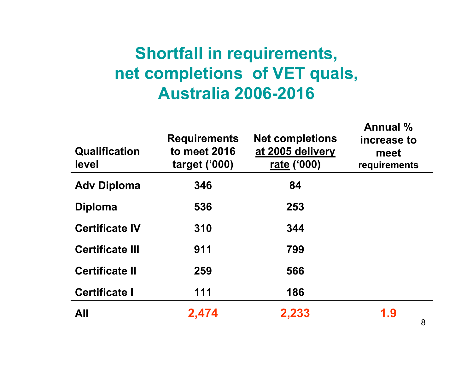#### **Shortfall in requirements, net completions of VET quals, Australia 2006-2016**

| <b>Qualification</b><br>level | <b>Requirements</b><br>to meet 2016<br>target $(900)$ | <b>Net completions</b><br>at 2005 delivery<br>rate ('000) | Annual %<br>increase to<br>meet<br>requirements |
|-------------------------------|-------------------------------------------------------|-----------------------------------------------------------|-------------------------------------------------|
| <b>Adv Diploma</b>            | 346                                                   | 84                                                        |                                                 |
| <b>Diploma</b>                | 536                                                   | 253                                                       |                                                 |
| <b>Certificate IV</b>         | 310                                                   | 344                                                       |                                                 |
| <b>Certificate III</b>        | 911                                                   | 799                                                       |                                                 |
| <b>Certificate II</b>         | 259                                                   | 566                                                       |                                                 |
| <b>Certificate I</b>          | 111                                                   | 186                                                       |                                                 |
| All                           | 2,474                                                 | 2,233                                                     | 1.9<br><sup>o</sup>                             |
|                               |                                                       |                                                           |                                                 |

**Annual %**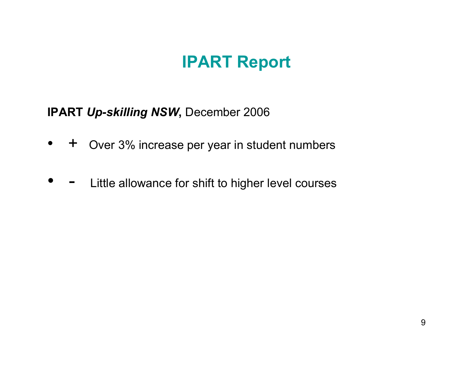#### **IPART Report**

**IPART Up-skilling NSW, December 2006** 

- $\bullet$ + Over 3% increase per year in student numbers
- $\bullet$  -Little allowance for shift to higher level courses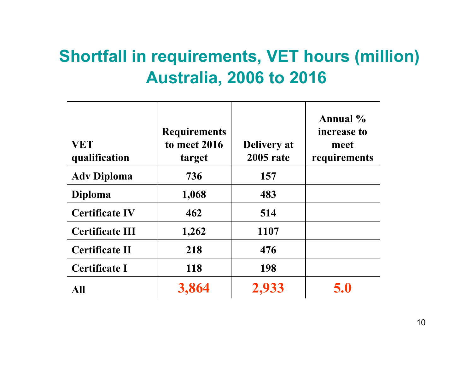#### **Shortfall in requirements, VET hours (million) Australia, 2006 to 2016**

| <b>VET</b><br>qualification | <b>Requirements</b><br>to meet 2016<br>target | <b>Delivery</b> at<br><b>2005</b> rate | Annual %<br>increase to<br>meet<br>requirements |
|-----------------------------|-----------------------------------------------|----------------------------------------|-------------------------------------------------|
| <b>Adv Diploma</b>          | 736                                           | 157                                    |                                                 |
| <b>Diploma</b>              | 1,068                                         | 483                                    |                                                 |
| <b>Certificate IV</b>       | 462                                           | 514                                    |                                                 |
| <b>Certificate III</b>      | 1,262                                         | 1107                                   |                                                 |
| <b>Certificate II</b>       | 218                                           | 476                                    |                                                 |
| <b>Certificate I</b>        | 118                                           | 198                                    |                                                 |
| <b>All</b>                  | 3,864                                         | 2,933                                  | 5.0                                             |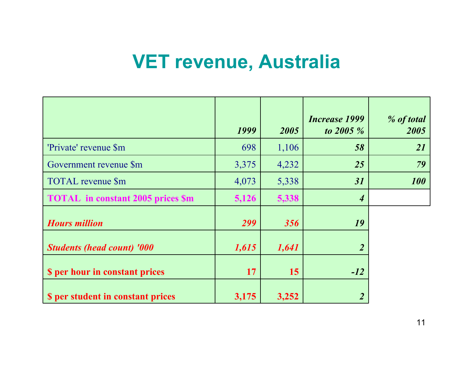#### **VET revenue, Australia**

|                                          | 1999  | 2005  | <b>Increase 1999</b><br>to $2005 \%$ | % of total<br>2005 |
|------------------------------------------|-------|-------|--------------------------------------|--------------------|
| 'Private' revenue \$m                    | 698   | 1,106 | 58                                   | <b>21</b>          |
| Government revenue \$m                   | 3,375 | 4,232 | 25                                   | 79                 |
| TOTAL revenue \$m                        | 4,073 | 5,338 | 31                                   | <b>100</b>         |
| <b>TOTAL</b> in constant 2005 prices \$m | 5,126 | 5,338 | $\boldsymbol{4}$                     |                    |
| <b>Hours million</b>                     | 299   | 356   | 19                                   |                    |
| <b>Students (head count) '000</b>        | 1,615 | 1,641 |                                      |                    |
| <b>S</b> per hour in constant prices     | 17    | 15    | $-12$                                |                    |
| <b>S</b> per student in constant prices  | 3,175 | 3,252 | $\overline{2}$                       |                    |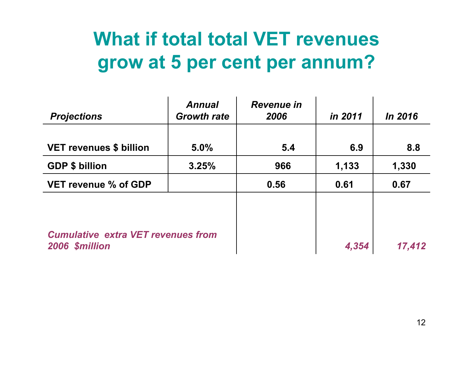### **What if total total VET revenues grow at 5 per cent per annum?**

| <b>Projections</b>                                          | <b>Annual</b><br><b>Growth rate</b> | <b>Revenue in</b><br>2006 | in 2011 | <i>In 2016</i> |
|-------------------------------------------------------------|-------------------------------------|---------------------------|---------|----------------|
| <b>VET revenues \$ billion</b>                              | 5.0%                                | 5.4                       | 6.9     | 8.8            |
| <b>GDP \$ billion</b>                                       | 3.25%                               | 966                       | 1,133   | 1,330          |
| <b>VET revenue % of GDP</b>                                 |                                     | 0.56                      | 0.61    | 0.67           |
| <b>Cumulative extra VET revenues from</b><br>2006 \$million |                                     |                           | 4,354   | 17,412         |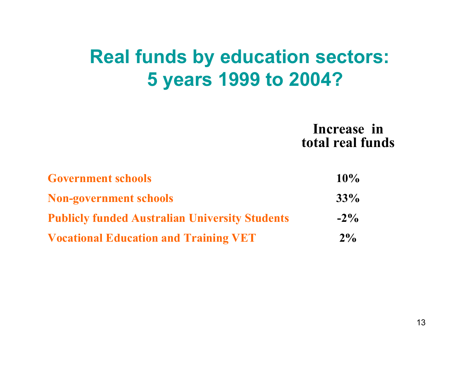### **Real funds by education sectors: 5 years 1999 to 2004?**

**Increase in total real funds**

| <b>Government schools</b>                             | 10%    |
|-------------------------------------------------------|--------|
| <b>Non-government schools</b>                         | 33%    |
| <b>Publicly funded Australian University Students</b> | $-2\%$ |
| <b>Vocational Education and Training VET</b>          | $2\%$  |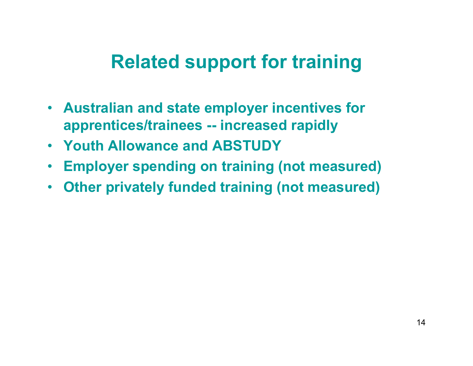#### **Related support for training**

- **Australian and state employer incentives for apprentices/trainees -- increased rapidly**
- **Youth Allowance and ABSTUDY**
- $\bullet$ **Employer spending on training (not measured)**
- $\bullet$ **Other privately funded training (not measured)**